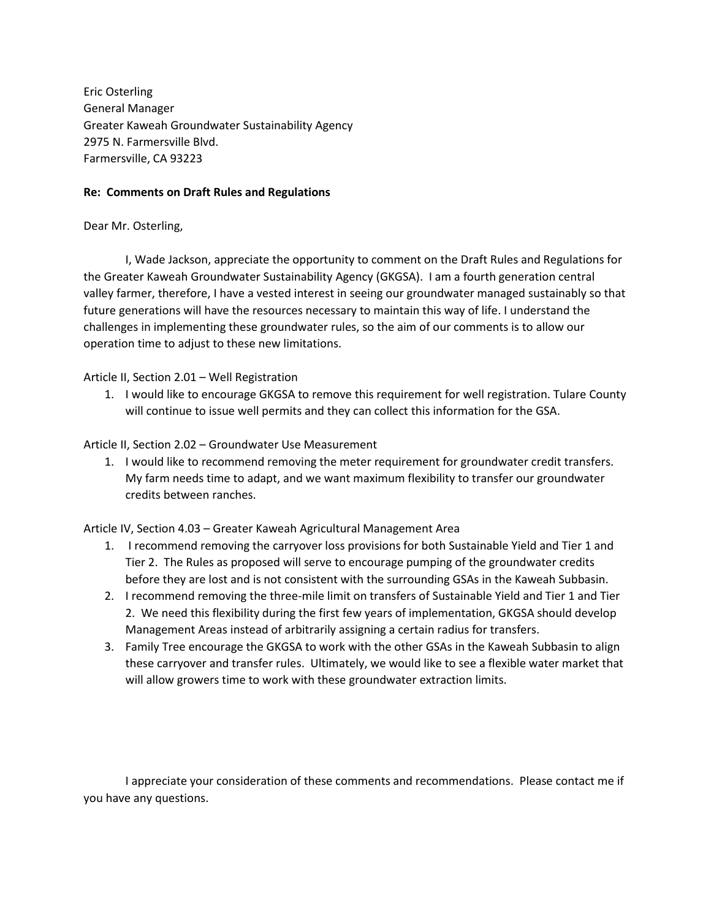Eric Osterling General Manager Greater Kaweah Groundwater Sustainability Agency 2975 N. Farmersville Blvd. Farmersville, CA 93223

## **Re: Comments on Draft Rules and Regulations**

## Dear Mr. Osterling,

I, Wade Jackson, appreciate the opportunity to comment on the Draft Rules and Regulations for the Greater Kaweah Groundwater Sustainability Agency (GKGSA). I am a fourth generation central valley farmer, therefore, I have a vested interest in seeing our groundwater managed sustainably so that future generations will have the resources necessary to maintain this way of life. I understand the challenges in implementing these groundwater rules, so the aim of our comments is to allow our operation time to adjust to these new limitations.

Article II, Section 2.01 – Well Registration

1. I would like to encourage GKGSA to remove this requirement for well registration. Tulare County will continue to issue well permits and they can collect this information for the GSA.

## Article II, Section 2.02 – Groundwater Use Measurement

1. I would like to recommend removing the meter requirement for groundwater credit transfers. My farm needs time to adapt, and we want maximum flexibility to transfer our groundwater credits between ranches.

Article IV, Section 4.03 – Greater Kaweah Agricultural Management Area

- 1. I recommend removing the carryover loss provisions for both Sustainable Yield and Tier 1 and Tier 2. The Rules as proposed will serve to encourage pumping of the groundwater credits before they are lost and is not consistent with the surrounding GSAs in the Kaweah Subbasin.
- 2. I recommend removing the three-mile limit on transfers of Sustainable Yield and Tier 1 and Tier 2. We need this flexibility during the first few years of implementation, GKGSA should develop Management Areas instead of arbitrarily assigning a certain radius for transfers.
- 3. Family Tree encourage the GKGSA to work with the other GSAs in the Kaweah Subbasin to align these carryover and transfer rules. Ultimately, we would like to see a flexible water market that will allow growers time to work with these groundwater extraction limits.

I appreciate your consideration of these comments and recommendations. Please contact me if you have any questions.